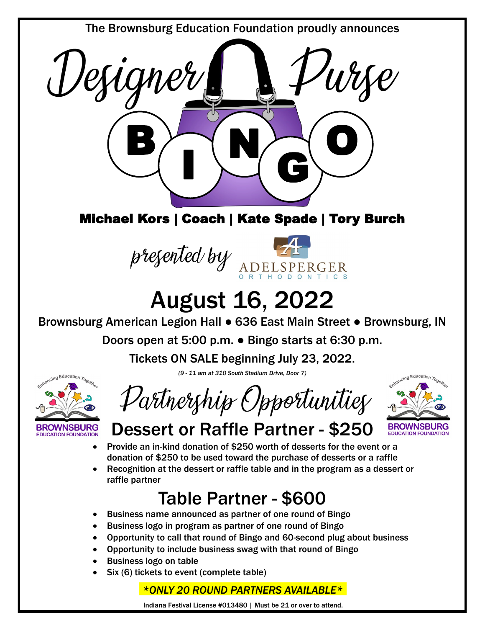The Brownsburg Education Foundation proudly announces



#### Michael Kors | Coach | Kate Spade | Tory Burch



# August 16, 2022

Brownsburg American Legion Hall ● 636 East Main Street ● Brownsburg, IN

Doors open at 5:00 p.m. ● Bingo starts at 6:30 p.m.

Tickets ON SALE beginning July 23, 2022.



*(9 - 11 am at 310 South Stadium Drive, Door 7)*

Partnership Opportunities



## Dessert or Raffle Partner - \$250

- Provide an in-kind donation of \$250 worth of desserts for the event or a donation of \$250 to be used toward the purchase of desserts or a raffle
- Recognition at the dessert or raffle table and in the program as a dessert or raffle partner

## Table Partner - \$600

- Business name announced as partner of one round of Bingo
- Business logo in program as partner of one round of Bingo
- Opportunity to call that round of Bingo and 60-second plug about business
- Opportunity to include business swag with that round of Bingo
- Business logo on table
- Six (6) tickets to event (complete table)

#### *\*ONLY 20 ROUND PARTNERS AVAILABLE\**

Indiana Festival License #013480 | Must be 21 or over to attend.